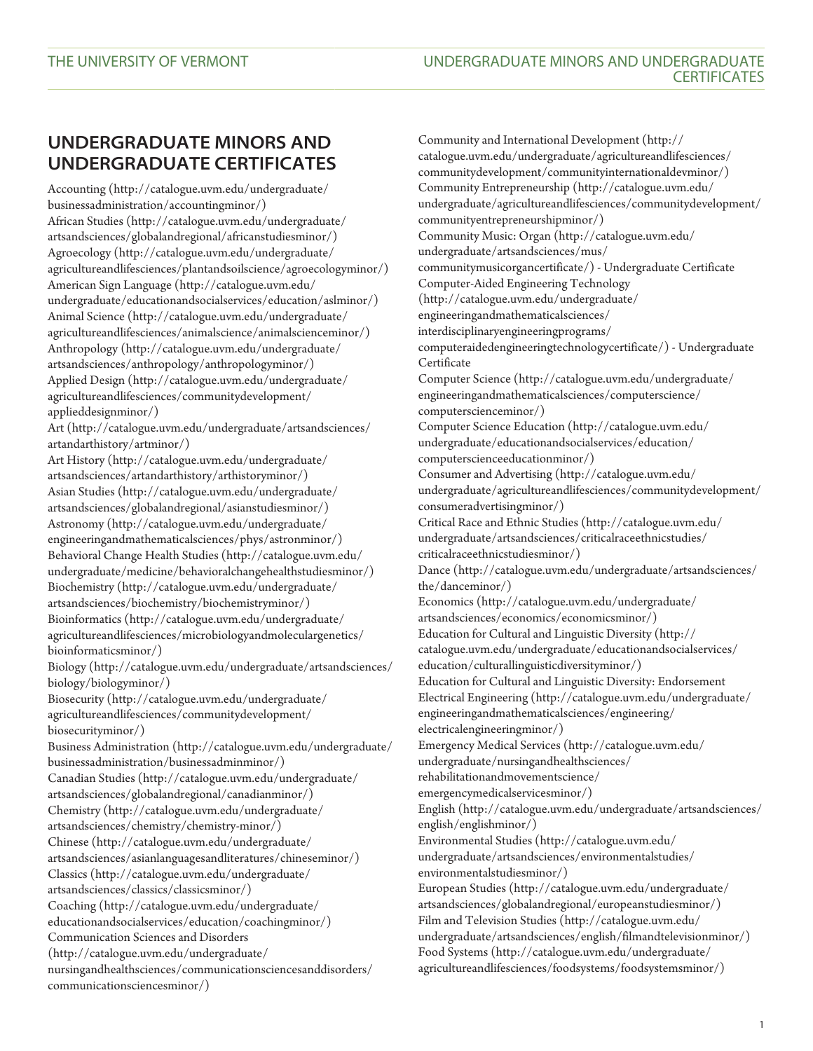## **UNDERGRADUATE MINORS AND UNDERGRADUATE CERTIFICATES**

[Accounting](http://catalogue.uvm.edu/undergraduate/businessadministration/accountingminor/) ([http://catalogue.uvm.edu/undergraduate/](http://catalogue.uvm.edu/undergraduate/businessadministration/accountingminor/) [businessadministration/accountingminor/\)](http://catalogue.uvm.edu/undergraduate/businessadministration/accountingminor/) [African Studies](http://catalogue.uvm.edu/undergraduate/artsandsciences/globalandregional/africanstudiesminor/) ([http://catalogue.uvm.edu/undergraduate/](http://catalogue.uvm.edu/undergraduate/artsandsciences/globalandregional/africanstudiesminor/) [artsandsciences/globalandregional/africanstudiesminor/](http://catalogue.uvm.edu/undergraduate/artsandsciences/globalandregional/africanstudiesminor/)) [Agroecology](http://catalogue.uvm.edu/undergraduate/agricultureandlifesciences/plantandsoilscience/agroecologyminor/) ([http://catalogue.uvm.edu/undergraduate/](http://catalogue.uvm.edu/undergraduate/agricultureandlifesciences/plantandsoilscience/agroecologyminor/) [agricultureandlifesciences/plantandsoilscience/agroecologyminor/\)](http://catalogue.uvm.edu/undergraduate/agricultureandlifesciences/plantandsoilscience/agroecologyminor/) [American Sign Language](http://catalogue.uvm.edu/undergraduate/educationandsocialservices/education/aslminor/) [\(http://catalogue.uvm.edu/](http://catalogue.uvm.edu/undergraduate/educationandsocialservices/education/aslminor/) [undergraduate/educationandsocialservices/education/aslminor/](http://catalogue.uvm.edu/undergraduate/educationandsocialservices/education/aslminor/)) [Animal Science](http://catalogue.uvm.edu/undergraduate/agricultureandlifesciences/animalscience/animalscienceminor/) ([http://catalogue.uvm.edu/undergraduate/](http://catalogue.uvm.edu/undergraduate/agricultureandlifesciences/animalscience/animalscienceminor/) [agricultureandlifesciences/animalscience/animalscienceminor/\)](http://catalogue.uvm.edu/undergraduate/agricultureandlifesciences/animalscience/animalscienceminor/) [Anthropology](http://catalogue.uvm.edu/undergraduate/artsandsciences/anthropology/anthropologyminor/) ([http://catalogue.uvm.edu/undergraduate/](http://catalogue.uvm.edu/undergraduate/artsandsciences/anthropology/anthropologyminor/) [artsandsciences/anthropology/anthropologyminor/\)](http://catalogue.uvm.edu/undergraduate/artsandsciences/anthropology/anthropologyminor/) [Applied Design](http://catalogue.uvm.edu/undergraduate/agricultureandlifesciences/communitydevelopment/applieddesignminor/) [\(http://catalogue.uvm.edu/undergraduate/](http://catalogue.uvm.edu/undergraduate/agricultureandlifesciences/communitydevelopment/applieddesignminor/) [agricultureandlifesciences/communitydevelopment/](http://catalogue.uvm.edu/undergraduate/agricultureandlifesciences/communitydevelopment/applieddesignminor/) [applieddesignminor/\)](http://catalogue.uvm.edu/undergraduate/agricultureandlifesciences/communitydevelopment/applieddesignminor/) [Art](http://catalogue.uvm.edu/undergraduate/artsandsciences/artandarthistory/artminor/) [\(http://catalogue.uvm.edu/undergraduate/artsandsciences/](http://catalogue.uvm.edu/undergraduate/artsandsciences/artandarthistory/artminor/) [artandarthistory/artminor/](http://catalogue.uvm.edu/undergraduate/artsandsciences/artandarthistory/artminor/)) [Art History](http://catalogue.uvm.edu/undergraduate/artsandsciences/artandarthistory/arthistoryminor/) ([http://catalogue.uvm.edu/undergraduate/](http://catalogue.uvm.edu/undergraduate/artsandsciences/artandarthistory/arthistoryminor/) [artsandsciences/artandarthistory/arthistoryminor/](http://catalogue.uvm.edu/undergraduate/artsandsciences/artandarthistory/arthistoryminor/)) [Asian Studies](http://catalogue.uvm.edu/undergraduate/artsandsciences/globalandregional/asianstudiesminor/) ([http://catalogue.uvm.edu/undergraduate/](http://catalogue.uvm.edu/undergraduate/artsandsciences/globalandregional/asianstudiesminor/) [artsandsciences/globalandregional/asianstudiesminor/\)](http://catalogue.uvm.edu/undergraduate/artsandsciences/globalandregional/asianstudiesminor/) [Astronomy](http://catalogue.uvm.edu/undergraduate/engineeringandmathematicalsciences/phys/astronminor/) [\(http://catalogue.uvm.edu/undergraduate/](http://catalogue.uvm.edu/undergraduate/engineeringandmathematicalsciences/phys/astronminor/) [engineeringandmathematicalsciences/phys/astronminor/](http://catalogue.uvm.edu/undergraduate/engineeringandmathematicalsciences/phys/astronminor/)) [Behavioral Change Health Studies](http://catalogue.uvm.edu/undergraduate/medicine/behavioralchangehealthstudiesminor/) ([http://catalogue.uvm.edu/](http://catalogue.uvm.edu/undergraduate/medicine/behavioralchangehealthstudiesminor/) [undergraduate/medicine/behavioralchangehealthstudiesminor/\)](http://catalogue.uvm.edu/undergraduate/medicine/behavioralchangehealthstudiesminor/) [Biochemistry](http://catalogue.uvm.edu/undergraduate/artsandsciences/biochemistry/biochemistryminor/) [\(http://catalogue.uvm.edu/undergraduate/](http://catalogue.uvm.edu/undergraduate/artsandsciences/biochemistry/biochemistryminor/) [artsandsciences/biochemistry/biochemistryminor/\)](http://catalogue.uvm.edu/undergraduate/artsandsciences/biochemistry/biochemistryminor/) [Bioinformatics](http://catalogue.uvm.edu/undergraduate/agricultureandlifesciences/microbiologyandmoleculargenetics/bioinformaticsminor/) ([http://catalogue.uvm.edu/undergraduate/](http://catalogue.uvm.edu/undergraduate/agricultureandlifesciences/microbiologyandmoleculargenetics/bioinformaticsminor/) [agricultureandlifesciences/microbiologyandmoleculargenetics/](http://catalogue.uvm.edu/undergraduate/agricultureandlifesciences/microbiologyandmoleculargenetics/bioinformaticsminor/) [bioinformaticsminor/](http://catalogue.uvm.edu/undergraduate/agricultureandlifesciences/microbiologyandmoleculargenetics/bioinformaticsminor/)) [Biology](http://catalogue.uvm.edu/undergraduate/artsandsciences/biology/biologyminor/) ([http://catalogue.uvm.edu/undergraduate/artsandsciences/](http://catalogue.uvm.edu/undergraduate/artsandsciences/biology/biologyminor/) [biology/biologyminor/](http://catalogue.uvm.edu/undergraduate/artsandsciences/biology/biologyminor/)) [Biosecurity](http://catalogue.uvm.edu/undergraduate/agricultureandlifesciences/communitydevelopment/biosecurityminor/) [\(http://catalogue.uvm.edu/undergraduate/](http://catalogue.uvm.edu/undergraduate/agricultureandlifesciences/communitydevelopment/biosecurityminor/) [agricultureandlifesciences/communitydevelopment/](http://catalogue.uvm.edu/undergraduate/agricultureandlifesciences/communitydevelopment/biosecurityminor/) [biosecurityminor/](http://catalogue.uvm.edu/undergraduate/agricultureandlifesciences/communitydevelopment/biosecurityminor/)) [Business Administration](http://catalogue.uvm.edu/undergraduate/businessadministration/businessadminminor/) ([http://catalogue.uvm.edu/undergraduate/](http://catalogue.uvm.edu/undergraduate/businessadministration/businessadminminor/) [businessadministration/businessadminminor/\)](http://catalogue.uvm.edu/undergraduate/businessadministration/businessadminminor/) [Canadian Studies](http://catalogue.uvm.edu/undergraduate/artsandsciences/globalandregional/canadianminor/) ([http://catalogue.uvm.edu/undergraduate/](http://catalogue.uvm.edu/undergraduate/artsandsciences/globalandregional/canadianminor/) [artsandsciences/globalandregional/canadianminor/](http://catalogue.uvm.edu/undergraduate/artsandsciences/globalandregional/canadianminor/)) [Chemistry](http://catalogue.uvm.edu/undergraduate/artsandsciences/chemistry/chemistry-minor/) ([http://catalogue.uvm.edu/undergraduate/](http://catalogue.uvm.edu/undergraduate/artsandsciences/chemistry/chemistry-minor/) [artsandsciences/chemistry/chemistry-minor/](http://catalogue.uvm.edu/undergraduate/artsandsciences/chemistry/chemistry-minor/)) [Chinese](http://catalogue.uvm.edu/undergraduate/artsandsciences/asianlanguagesandliteratures/chineseminor/) ([http://catalogue.uvm.edu/undergraduate/](http://catalogue.uvm.edu/undergraduate/artsandsciences/asianlanguagesandliteratures/chineseminor/) [artsandsciences/asianlanguagesandliteratures/chineseminor/\)](http://catalogue.uvm.edu/undergraduate/artsandsciences/asianlanguagesandliteratures/chineseminor/) [Classics](http://catalogue.uvm.edu/undergraduate/artsandsciences/classics/classicsminor/) ([http://catalogue.uvm.edu/undergraduate/](http://catalogue.uvm.edu/undergraduate/artsandsciences/classics/classicsminor/) [artsandsciences/classics/classicsminor/\)](http://catalogue.uvm.edu/undergraduate/artsandsciences/classics/classicsminor/) [Coaching](http://catalogue.uvm.edu/undergraduate/educationandsocialservices/education/coachingminor/) [\(http://catalogue.uvm.edu/undergraduate/](http://catalogue.uvm.edu/undergraduate/educationandsocialservices/education/coachingminor/) [educationandsocialservices/education/coachingminor/\)](http://catalogue.uvm.edu/undergraduate/educationandsocialservices/education/coachingminor/) [Communication Sciences and Disorders](http://catalogue.uvm.edu/undergraduate/nursingandhealthsciences/communicationsciencesanddisorders/communicationsciencesminor/) [\(http://catalogue.uvm.edu/undergraduate/](http://catalogue.uvm.edu/undergraduate/nursingandhealthsciences/communicationsciencesanddisorders/communicationsciencesminor/) [nursingandhealthsciences/communicationsciencesanddisorders/](http://catalogue.uvm.edu/undergraduate/nursingandhealthsciences/communicationsciencesanddisorders/communicationsciencesminor/) [communicationsciencesminor/](http://catalogue.uvm.edu/undergraduate/nursingandhealthsciences/communicationsciencesanddisorders/communicationsciencesminor/))

[Community and International Development](http://catalogue.uvm.edu/undergraduate/agricultureandlifesciences/communitydevelopment/communityinternationaldevminor/) ([http://](http://catalogue.uvm.edu/undergraduate/agricultureandlifesciences/communitydevelopment/communityinternationaldevminor/) [catalogue.uvm.edu/undergraduate/agricultureandlifesciences/](http://catalogue.uvm.edu/undergraduate/agricultureandlifesciences/communitydevelopment/communityinternationaldevminor/) [communitydevelopment/communityinternationaldevminor/](http://catalogue.uvm.edu/undergraduate/agricultureandlifesciences/communitydevelopment/communityinternationaldevminor/)) [Community Entrepreneurship](http://catalogue.uvm.edu/undergraduate/agricultureandlifesciences/communitydevelopment/communityentrepreneurshipminor/) [\(http://catalogue.uvm.edu/](http://catalogue.uvm.edu/undergraduate/agricultureandlifesciences/communitydevelopment/communityentrepreneurshipminor/) [undergraduate/agricultureandlifesciences/communitydevelopment/](http://catalogue.uvm.edu/undergraduate/agricultureandlifesciences/communitydevelopment/communityentrepreneurshipminor/) [communityentrepreneurshipminor/](http://catalogue.uvm.edu/undergraduate/agricultureandlifesciences/communitydevelopment/communityentrepreneurshipminor/)) [Community Music: Organ](http://catalogue.uvm.edu/undergraduate/artsandsciences/mus/communitymusicorgancertificate/) [\(http://catalogue.uvm.edu/](http://catalogue.uvm.edu/undergraduate/artsandsciences/mus/communitymusicorgancertificate/) [undergraduate/artsandsciences/mus/](http://catalogue.uvm.edu/undergraduate/artsandsciences/mus/communitymusicorgancertificate/) [communitymusicorgancertificate/](http://catalogue.uvm.edu/undergraduate/artsandsciences/mus/communitymusicorgancertificate/)) - Undergraduate Certificate [Computer-Aided Engineering Technology](http://catalogue.uvm.edu/undergraduate/engineeringandmathematicalsciences/interdisciplinaryengineeringprograms/computeraidedengineeringtechnologycertificate/) [\(http://catalogue.uvm.edu/undergraduate/](http://catalogue.uvm.edu/undergraduate/engineeringandmathematicalsciences/interdisciplinaryengineeringprograms/computeraidedengineeringtechnologycertificate/) [engineeringandmathematicalsciences/](http://catalogue.uvm.edu/undergraduate/engineeringandmathematicalsciences/interdisciplinaryengineeringprograms/computeraidedengineeringtechnologycertificate/) [interdisciplinaryengineeringprograms/](http://catalogue.uvm.edu/undergraduate/engineeringandmathematicalsciences/interdisciplinaryengineeringprograms/computeraidedengineeringtechnologycertificate/) [computeraidedengineeringtechnologycertificate/](http://catalogue.uvm.edu/undergraduate/engineeringandmathematicalsciences/interdisciplinaryengineeringprograms/computeraidedengineeringtechnologycertificate/)) - Undergraduate Certificate [Computer Science](http://catalogue.uvm.edu/undergraduate/engineeringandmathematicalsciences/computerscience/computerscienceminor/) ([http://catalogue.uvm.edu/undergraduate/](http://catalogue.uvm.edu/undergraduate/engineeringandmathematicalsciences/computerscience/computerscienceminor/) [engineeringandmathematicalsciences/computerscience/](http://catalogue.uvm.edu/undergraduate/engineeringandmathematicalsciences/computerscience/computerscienceminor/) [computerscienceminor/\)](http://catalogue.uvm.edu/undergraduate/engineeringandmathematicalsciences/computerscience/computerscienceminor/) [Computer Science Education](http://catalogue.uvm.edu/undergraduate/educationandsocialservices/education/computerscienceeducationminor/) ([http://catalogue.uvm.edu/](http://catalogue.uvm.edu/undergraduate/educationandsocialservices/education/computerscienceeducationminor/) [undergraduate/educationandsocialservices/education/](http://catalogue.uvm.edu/undergraduate/educationandsocialservices/education/computerscienceeducationminor/) [computerscienceeducationminor/\)](http://catalogue.uvm.edu/undergraduate/educationandsocialservices/education/computerscienceeducationminor/) [Consumer and Advertising](http://catalogue.uvm.edu/undergraduate/agricultureandlifesciences/communitydevelopment/consumeradvertisingminor/) ([http://catalogue.uvm.edu/](http://catalogue.uvm.edu/undergraduate/agricultureandlifesciences/communitydevelopment/consumeradvertisingminor/) [undergraduate/agricultureandlifesciences/communitydevelopment/](http://catalogue.uvm.edu/undergraduate/agricultureandlifesciences/communitydevelopment/consumeradvertisingminor/) [consumeradvertisingminor/](http://catalogue.uvm.edu/undergraduate/agricultureandlifesciences/communitydevelopment/consumeradvertisingminor/)) [Critical Race and Ethnic Studies](http://catalogue.uvm.edu/undergraduate/artsandsciences/criticalraceethnicstudies/criticalraceethnicstudiesminor/) ([http://catalogue.uvm.edu/](http://catalogue.uvm.edu/undergraduate/artsandsciences/criticalraceethnicstudies/criticalraceethnicstudiesminor/) [undergraduate/artsandsciences/criticalraceethnicstudies/](http://catalogue.uvm.edu/undergraduate/artsandsciences/criticalraceethnicstudies/criticalraceethnicstudiesminor/) [criticalraceethnicstudiesminor/](http://catalogue.uvm.edu/undergraduate/artsandsciences/criticalraceethnicstudies/criticalraceethnicstudiesminor/)) [Dance](http://catalogue.uvm.edu/undergraduate/artsandsciences/the/danceminor/) [\(http://catalogue.uvm.edu/undergraduate/artsandsciences/](http://catalogue.uvm.edu/undergraduate/artsandsciences/the/danceminor/) [the/danceminor/\)](http://catalogue.uvm.edu/undergraduate/artsandsciences/the/danceminor/) [Economics](http://catalogue.uvm.edu/undergraduate/artsandsciences/economics/economicsminor/) ([http://catalogue.uvm.edu/undergraduate/](http://catalogue.uvm.edu/undergraduate/artsandsciences/economics/economicsminor/) [artsandsciences/economics/economicsminor/](http://catalogue.uvm.edu/undergraduate/artsandsciences/economics/economicsminor/)) [Education for Cultural and Linguistic Diversity](http://catalogue.uvm.edu/undergraduate/educationandsocialservices/education/culturallinguisticdiversityminor/) ([http://](http://catalogue.uvm.edu/undergraduate/educationandsocialservices/education/culturallinguisticdiversityminor/) [catalogue.uvm.edu/undergraduate/educationandsocialservices/](http://catalogue.uvm.edu/undergraduate/educationandsocialservices/education/culturallinguisticdiversityminor/) [education/culturallinguisticdiversityminor/](http://catalogue.uvm.edu/undergraduate/educationandsocialservices/education/culturallinguisticdiversityminor/)) Education for Cultural and Linguistic Diversity: Endorsement [Electrical Engineering](http://catalogue.uvm.edu/undergraduate/engineeringandmathematicalsciences/engineering/electricalengineeringminor/) ([http://catalogue.uvm.edu/undergraduate/](http://catalogue.uvm.edu/undergraduate/engineeringandmathematicalsciences/engineering/electricalengineeringminor/) [engineeringandmathematicalsciences/engineering/](http://catalogue.uvm.edu/undergraduate/engineeringandmathematicalsciences/engineering/electricalengineeringminor/) [electricalengineeringminor/\)](http://catalogue.uvm.edu/undergraduate/engineeringandmathematicalsciences/engineering/electricalengineeringminor/) [Emergency Medical Services](http://catalogue.uvm.edu/undergraduate/nursingandhealthsciences/rehabilitationandmovementscience/emergencymedicalservicesminor/) [\(http://catalogue.uvm.edu/](http://catalogue.uvm.edu/undergraduate/nursingandhealthsciences/rehabilitationandmovementscience/emergencymedicalservicesminor/) [undergraduate/nursingandhealthsciences/](http://catalogue.uvm.edu/undergraduate/nursingandhealthsciences/rehabilitationandmovementscience/emergencymedicalservicesminor/) [rehabilitationandmovementscience/](http://catalogue.uvm.edu/undergraduate/nursingandhealthsciences/rehabilitationandmovementscience/emergencymedicalservicesminor/) [emergencymedicalservicesminor/](http://catalogue.uvm.edu/undergraduate/nursingandhealthsciences/rehabilitationandmovementscience/emergencymedicalservicesminor/)) [English](http://catalogue.uvm.edu/undergraduate/artsandsciences/english/englishminor/) ([http://catalogue.uvm.edu/undergraduate/artsandsciences/](http://catalogue.uvm.edu/undergraduate/artsandsciences/english/englishminor/) [english/englishminor/\)](http://catalogue.uvm.edu/undergraduate/artsandsciences/english/englishminor/) [Environmental Studies](http://catalogue.uvm.edu/undergraduate/artsandsciences/environmentalstudies/environmentalstudiesminor/) ([http://catalogue.uvm.edu/](http://catalogue.uvm.edu/undergraduate/artsandsciences/environmentalstudies/environmentalstudiesminor/) [undergraduate/artsandsciences/environmentalstudies/](http://catalogue.uvm.edu/undergraduate/artsandsciences/environmentalstudies/environmentalstudiesminor/) [environmentalstudiesminor/\)](http://catalogue.uvm.edu/undergraduate/artsandsciences/environmentalstudies/environmentalstudiesminor/) [European Studies](http://catalogue.uvm.edu/undergraduate/artsandsciences/globalandregional/europeanstudiesminor/) [\(http://catalogue.uvm.edu/undergraduate/](http://catalogue.uvm.edu/undergraduate/artsandsciences/globalandregional/europeanstudiesminor/) [artsandsciences/globalandregional/europeanstudiesminor/](http://catalogue.uvm.edu/undergraduate/artsandsciences/globalandregional/europeanstudiesminor/)) [Film and Television Studies](http://catalogue.uvm.edu/undergraduate/artsandsciences/english/filmandtelevisionminor/) [\(http://catalogue.uvm.edu/](http://catalogue.uvm.edu/undergraduate/artsandsciences/english/filmandtelevisionminor/) [undergraduate/artsandsciences/english/filmandtelevisionminor/](http://catalogue.uvm.edu/undergraduate/artsandsciences/english/filmandtelevisionminor/)) [Food Systems](http://catalogue.uvm.edu/undergraduate/agricultureandlifesciences/foodsystems/foodsystemsminor/) ([http://catalogue.uvm.edu/undergraduate/](http://catalogue.uvm.edu/undergraduate/agricultureandlifesciences/foodsystems/foodsystemsminor/) [agricultureandlifesciences/foodsystems/foodsystemsminor/](http://catalogue.uvm.edu/undergraduate/agricultureandlifesciences/foodsystems/foodsystemsminor/))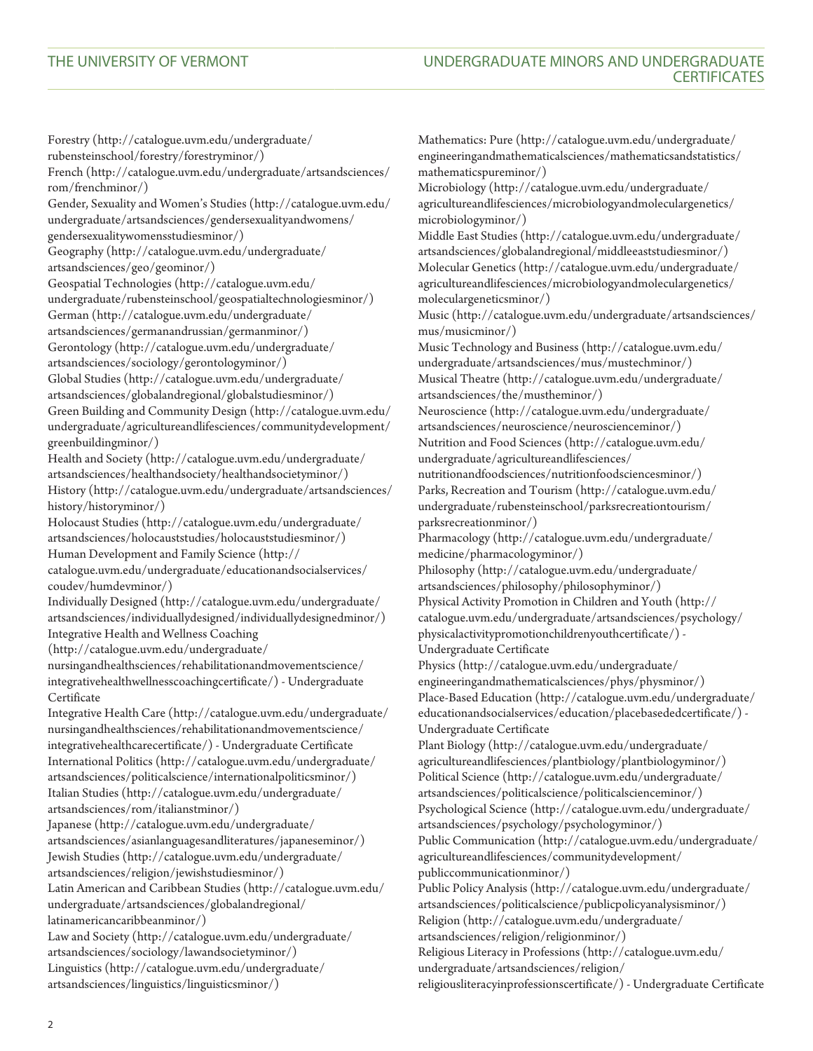[Forestry](http://catalogue.uvm.edu/undergraduate/rubensteinschool/forestry/forestryminor/) ([http://catalogue.uvm.edu/undergraduate/](http://catalogue.uvm.edu/undergraduate/rubensteinschool/forestry/forestryminor/) [rubensteinschool/forestry/forestryminor/](http://catalogue.uvm.edu/undergraduate/rubensteinschool/forestry/forestryminor/)) [French](http://catalogue.uvm.edu/undergraduate/artsandsciences/rom/frenchminor/) ([http://catalogue.uvm.edu/undergraduate/artsandsciences/](http://catalogue.uvm.edu/undergraduate/artsandsciences/rom/frenchminor/) [rom/frenchminor/\)](http://catalogue.uvm.edu/undergraduate/artsandsciences/rom/frenchminor/) [Gender, Sexuality and Women's Studies](http://catalogue.uvm.edu/undergraduate/artsandsciences/gendersexualityandwomens/gendersexualitywomensstudiesminor/) ([http://catalogue.uvm.edu/](http://catalogue.uvm.edu/undergraduate/artsandsciences/gendersexualityandwomens/gendersexualitywomensstudiesminor/) [undergraduate/artsandsciences/gendersexualityandwomens/](http://catalogue.uvm.edu/undergraduate/artsandsciences/gendersexualityandwomens/gendersexualitywomensstudiesminor/) [gendersexualitywomensstudiesminor/\)](http://catalogue.uvm.edu/undergraduate/artsandsciences/gendersexualityandwomens/gendersexualitywomensstudiesminor/) [Geography](http://catalogue.uvm.edu/undergraduate/artsandsciences/geo/geominor/) ([http://catalogue.uvm.edu/undergraduate/](http://catalogue.uvm.edu/undergraduate/artsandsciences/geo/geominor/) [artsandsciences/geo/geominor/](http://catalogue.uvm.edu/undergraduate/artsandsciences/geo/geominor/)) [Geospatial Technologies](http://catalogue.uvm.edu/undergraduate/rubensteinschool/geospatialtechnologiesminor/) [\(http://catalogue.uvm.edu/](http://catalogue.uvm.edu/undergraduate/rubensteinschool/geospatialtechnologiesminor/) [undergraduate/rubensteinschool/geospatialtechnologiesminor/\)](http://catalogue.uvm.edu/undergraduate/rubensteinschool/geospatialtechnologiesminor/) [German](http://catalogue.uvm.edu/undergraduate/artsandsciences/germanandrussian/germanminor/) [\(http://catalogue.uvm.edu/undergraduate/](http://catalogue.uvm.edu/undergraduate/artsandsciences/germanandrussian/germanminor/) [artsandsciences/germanandrussian/germanminor/\)](http://catalogue.uvm.edu/undergraduate/artsandsciences/germanandrussian/germanminor/) [Gerontology](http://catalogue.uvm.edu/undergraduate/artsandsciences/sociology/gerontologyminor/) [\(http://catalogue.uvm.edu/undergraduate/](http://catalogue.uvm.edu/undergraduate/artsandsciences/sociology/gerontologyminor/) [artsandsciences/sociology/gerontologyminor/](http://catalogue.uvm.edu/undergraduate/artsandsciences/sociology/gerontologyminor/)) [Global Studies](http://catalogue.uvm.edu/undergraduate/artsandsciences/globalandregional/globalstudiesminor/) [\(http://catalogue.uvm.edu/undergraduate/](http://catalogue.uvm.edu/undergraduate/artsandsciences/globalandregional/globalstudiesminor/) [artsandsciences/globalandregional/globalstudiesminor/\)](http://catalogue.uvm.edu/undergraduate/artsandsciences/globalandregional/globalstudiesminor/) [Green Building and Community Design](http://catalogue.uvm.edu/undergraduate/agricultureandlifesciences/communitydevelopment/greenbuildingminor/) ([http://catalogue.uvm.edu/](http://catalogue.uvm.edu/undergraduate/agricultureandlifesciences/communitydevelopment/greenbuildingminor/) [undergraduate/agricultureandlifesciences/communitydevelopment/](http://catalogue.uvm.edu/undergraduate/agricultureandlifesciences/communitydevelopment/greenbuildingminor/) [greenbuildingminor/\)](http://catalogue.uvm.edu/undergraduate/agricultureandlifesciences/communitydevelopment/greenbuildingminor/) [Health and Society](http://catalogue.uvm.edu/undergraduate/artsandsciences/healthandsociety/healthandsocietyminor/) [\(http://catalogue.uvm.edu/undergraduate/](http://catalogue.uvm.edu/undergraduate/artsandsciences/healthandsociety/healthandsocietyminor/) [artsandsciences/healthandsociety/healthandsocietyminor/\)](http://catalogue.uvm.edu/undergraduate/artsandsciences/healthandsociety/healthandsocietyminor/) [History](http://catalogue.uvm.edu/undergraduate/artsandsciences/history/historyminor/) ([http://catalogue.uvm.edu/undergraduate/artsandsciences/](http://catalogue.uvm.edu/undergraduate/artsandsciences/history/historyminor/) [history/historyminor/\)](http://catalogue.uvm.edu/undergraduate/artsandsciences/history/historyminor/) [Holocaust Studies \(http://catalogue.uvm.edu/undergraduate/](http://catalogue.uvm.edu/undergraduate/artsandsciences/holocauststudies/holocauststudiesminor/) [artsandsciences/holocauststudies/holocauststudiesminor/\)](http://catalogue.uvm.edu/undergraduate/artsandsciences/holocauststudies/holocauststudiesminor/) [Human Development and Family Science](http://catalogue.uvm.edu/undergraduate/educationandsocialservices/coudev/humdevminor/) ([http://](http://catalogue.uvm.edu/undergraduate/educationandsocialservices/coudev/humdevminor/) [catalogue.uvm.edu/undergraduate/educationandsocialservices/](http://catalogue.uvm.edu/undergraduate/educationandsocialservices/coudev/humdevminor/) [coudev/humdevminor/](http://catalogue.uvm.edu/undergraduate/educationandsocialservices/coudev/humdevminor/)) [Individually Designed](http://catalogue.uvm.edu/undergraduate/artsandsciences/individuallydesigned/individuallydesignedminor/) ([http://catalogue.uvm.edu/undergraduate/](http://catalogue.uvm.edu/undergraduate/artsandsciences/individuallydesigned/individuallydesignedminor/) [artsandsciences/individuallydesigned/individuallydesignedminor/\)](http://catalogue.uvm.edu/undergraduate/artsandsciences/individuallydesigned/individuallydesignedminor/) [Integrative Health and Wellness Coaching](http://catalogue.uvm.edu/undergraduate/nursingandhealthsciences/rehabilitationandmovementscience/integrativehealthwellnesscoachingcertificate/) [\(http://catalogue.uvm.edu/undergraduate/](http://catalogue.uvm.edu/undergraduate/nursingandhealthsciences/rehabilitationandmovementscience/integrativehealthwellnesscoachingcertificate/) [nursingandhealthsciences/rehabilitationandmovementscience/](http://catalogue.uvm.edu/undergraduate/nursingandhealthsciences/rehabilitationandmovementscience/integrativehealthwellnesscoachingcertificate/) [integrativehealthwellnesscoachingcertificate/](http://catalogue.uvm.edu/undergraduate/nursingandhealthsciences/rehabilitationandmovementscience/integrativehealthwellnesscoachingcertificate/)) - Undergraduate Certificate [Integrative Health Care](http://catalogue.uvm.edu/undergraduate/nursingandhealthsciences/rehabilitationandmovementscience/integrativehealthcarecertificate/) ([http://catalogue.uvm.edu/undergraduate/](http://catalogue.uvm.edu/undergraduate/nursingandhealthsciences/rehabilitationandmovementscience/integrativehealthcarecertificate/) [nursingandhealthsciences/rehabilitationandmovementscience/](http://catalogue.uvm.edu/undergraduate/nursingandhealthsciences/rehabilitationandmovementscience/integrativehealthcarecertificate/) [integrativehealthcarecertificate/](http://catalogue.uvm.edu/undergraduate/nursingandhealthsciences/rehabilitationandmovementscience/integrativehealthcarecertificate/)) - Undergraduate Certificate [International Politics](http://catalogue.uvm.edu/undergraduate/artsandsciences/politicalscience/internationalpoliticsminor/) [\(http://catalogue.uvm.edu/undergraduate/](http://catalogue.uvm.edu/undergraduate/artsandsciences/politicalscience/internationalpoliticsminor/)  $\label{eq:atr} \begin{aligned} \text{arts} and \text{sciences}/\text{politic} also \text{icence}/\text{intermational} \text{politic} \text{sminor}/\text{)} \end{aligned}$ [Italian Studies \(http://catalogue.uvm.edu/undergraduate/](http://catalogue.uvm.edu/undergraduate/artsandsciences/rom/italianstminor/) [artsandsciences/rom/italianstminor/](http://catalogue.uvm.edu/undergraduate/artsandsciences/rom/italianstminor/)) [Japanese](http://catalogue.uvm.edu/undergraduate/artsandsciences/asianlanguagesandliteratures/japaneseminor/) [\(http://catalogue.uvm.edu/undergraduate/](http://catalogue.uvm.edu/undergraduate/artsandsciences/asianlanguagesandliteratures/japaneseminor/) [artsandsciences/asianlanguagesandliteratures/japaneseminor/](http://catalogue.uvm.edu/undergraduate/artsandsciences/asianlanguagesandliteratures/japaneseminor/)) [Jewish Studies](http://catalogue.uvm.edu/undergraduate/artsandsciences/religion/jewishstudiesminor/) [\(http://catalogue.uvm.edu/undergraduate/](http://catalogue.uvm.edu/undergraduate/artsandsciences/religion/jewishstudiesminor/) [artsandsciences/religion/jewishstudiesminor/](http://catalogue.uvm.edu/undergraduate/artsandsciences/religion/jewishstudiesminor/)) [Latin American and Caribbean Studies](http://catalogue.uvm.edu/undergraduate/artsandsciences/globalandregional/latinamericancaribbeanminor/) [\(http://catalogue.uvm.edu/](http://catalogue.uvm.edu/undergraduate/artsandsciences/globalandregional/latinamericancaribbeanminor/) [undergraduate/artsandsciences/globalandregional/](http://catalogue.uvm.edu/undergraduate/artsandsciences/globalandregional/latinamericancaribbeanminor/) [latinamericancaribbeanminor/\)](http://catalogue.uvm.edu/undergraduate/artsandsciences/globalandregional/latinamericancaribbeanminor/) [Law and Society](http://catalogue.uvm.edu/undergraduate/artsandsciences/sociology/lawandsocietyminor/) [\(http://catalogue.uvm.edu/undergraduate/](http://catalogue.uvm.edu/undergraduate/artsandsciences/sociology/lawandsocietyminor/) [artsandsciences/sociology/lawandsocietyminor/\)](http://catalogue.uvm.edu/undergraduate/artsandsciences/sociology/lawandsocietyminor/) [Linguistics](http://catalogue.uvm.edu/undergraduate/artsandsciences/linguistics/linguisticsminor/) ([http://catalogue.uvm.edu/undergraduate/](http://catalogue.uvm.edu/undergraduate/artsandsciences/linguistics/linguisticsminor/) [artsandsciences/linguistics/linguisticsminor/](http://catalogue.uvm.edu/undergraduate/artsandsciences/linguistics/linguisticsminor/))

[Mathematics: Pure](http://catalogue.uvm.edu/undergraduate/engineeringandmathematicalsciences/mathematicsandstatistics/mathematicspureminor/) [\(http://catalogue.uvm.edu/undergraduate/](http://catalogue.uvm.edu/undergraduate/engineeringandmathematicalsciences/mathematicsandstatistics/mathematicspureminor/) [engineeringandmathematicalsciences/mathematicsandstatistics/](http://catalogue.uvm.edu/undergraduate/engineeringandmathematicalsciences/mathematicsandstatistics/mathematicspureminor/) [mathematicspureminor/\)](http://catalogue.uvm.edu/undergraduate/engineeringandmathematicalsciences/mathematicsandstatistics/mathematicspureminor/) [Microbiology](http://catalogue.uvm.edu/undergraduate/agricultureandlifesciences/microbiologyandmoleculargenetics/microbiologyminor/) [\(http://catalogue.uvm.edu/undergraduate/](http://catalogue.uvm.edu/undergraduate/agricultureandlifesciences/microbiologyandmoleculargenetics/microbiologyminor/) [agricultureandlifesciences/microbiologyandmoleculargenetics/](http://catalogue.uvm.edu/undergraduate/agricultureandlifesciences/microbiologyandmoleculargenetics/microbiologyminor/) [microbiologyminor/\)](http://catalogue.uvm.edu/undergraduate/agricultureandlifesciences/microbiologyandmoleculargenetics/microbiologyminor/) [Middle East Studies](http://catalogue.uvm.edu/undergraduate/artsandsciences/globalandregional/middleeaststudiesminor/) ([http://catalogue.uvm.edu/undergraduate/](http://catalogue.uvm.edu/undergraduate/artsandsciences/globalandregional/middleeaststudiesminor/)  $\label{eq:sts} \begin{aligned} \text{arts} and \text{sciences/global} and \text{regional/middle} \text{eaststudies} \text{minor} / \text{)} \end{aligned}$ [Molecular Genetics](http://catalogue.uvm.edu/undergraduate/agricultureandlifesciences/microbiologyandmoleculargenetics/moleculargeneticsminor/) ([http://catalogue.uvm.edu/undergraduate/](http://catalogue.uvm.edu/undergraduate/agricultureandlifesciences/microbiologyandmoleculargenetics/moleculargeneticsminor/) [agricultureandlifesciences/microbiologyandmoleculargenetics/](http://catalogue.uvm.edu/undergraduate/agricultureandlifesciences/microbiologyandmoleculargenetics/moleculargeneticsminor/) [moleculargeneticsminor/\)](http://catalogue.uvm.edu/undergraduate/agricultureandlifesciences/microbiologyandmoleculargenetics/moleculargeneticsminor/) [Music](http://catalogue.uvm.edu/undergraduate/artsandsciences/mus/musicminor/) [\(http://catalogue.uvm.edu/undergraduate/artsandsciences/](http://catalogue.uvm.edu/undergraduate/artsandsciences/mus/musicminor/) [mus/musicminor/](http://catalogue.uvm.edu/undergraduate/artsandsciences/mus/musicminor/)) [Music Technology and Business](http://catalogue.uvm.edu/undergraduate/artsandsciences/mus/mustechminor/) ([http://catalogue.uvm.edu/](http://catalogue.uvm.edu/undergraduate/artsandsciences/mus/mustechminor/)  $\label{eq:undergrad} undergraduate/arts and sciences/mus/mustechminor/$ [Musical Theatre \(http://catalogue.uvm.edu/undergraduate/](http://catalogue.uvm.edu/undergraduate/artsandsciences/the/mustheminor/) [artsandsciences/the/mustheminor/](http://catalogue.uvm.edu/undergraduate/artsandsciences/the/mustheminor/)) [Neuroscience](http://catalogue.uvm.edu/undergraduate/artsandsciences/neuroscience/neuroscienceminor/) ([http://catalogue.uvm.edu/undergraduate/](http://catalogue.uvm.edu/undergraduate/artsandsciences/neuroscience/neuroscienceminor/) [artsandsciences/neuroscience/neuroscienceminor/](http://catalogue.uvm.edu/undergraduate/artsandsciences/neuroscience/neuroscienceminor/)) [Nutrition and Food Sciences](http://catalogue.uvm.edu/undergraduate/agricultureandlifesciences/nutritionandfoodsciences/nutritionfoodsciencesminor/) ([http://catalogue.uvm.edu/](http://catalogue.uvm.edu/undergraduate/agricultureandlifesciences/nutritionandfoodsciences/nutritionfoodsciencesminor/) [undergraduate/agricultureandlifesciences/](http://catalogue.uvm.edu/undergraduate/agricultureandlifesciences/nutritionandfoodsciences/nutritionfoodsciencesminor/) [nutritionandfoodsciences/nutritionfoodsciencesminor/\)](http://catalogue.uvm.edu/undergraduate/agricultureandlifesciences/nutritionandfoodsciences/nutritionfoodsciencesminor/) [Parks, Recreation and Tourism](http://catalogue.uvm.edu/undergraduate/rubensteinschool/parksrecreationtourism/parksrecreationminor/) [\(http://catalogue.uvm.edu/](http://catalogue.uvm.edu/undergraduate/rubensteinschool/parksrecreationtourism/parksrecreationminor/) [undergraduate/rubensteinschool/parksrecreationtourism/](http://catalogue.uvm.edu/undergraduate/rubensteinschool/parksrecreationtourism/parksrecreationminor/) [parksrecreationminor/\)](http://catalogue.uvm.edu/undergraduate/rubensteinschool/parksrecreationtourism/parksrecreationminor/) [Pharmacology](http://catalogue.uvm.edu/undergraduate/medicine/pharmacologyminor/) [\(http://catalogue.uvm.edu/undergraduate/](http://catalogue.uvm.edu/undergraduate/medicine/pharmacologyminor/) [medicine/pharmacologyminor/\)](http://catalogue.uvm.edu/undergraduate/medicine/pharmacologyminor/) [Philosophy](http://catalogue.uvm.edu/undergraduate/artsandsciences/philosophy/philosophyminor/) ([http://catalogue.uvm.edu/undergraduate/](http://catalogue.uvm.edu/undergraduate/artsandsciences/philosophy/philosophyminor/) [artsandsciences/philosophy/philosophyminor/](http://catalogue.uvm.edu/undergraduate/artsandsciences/philosophy/philosophyminor/)) [Physical Activity Promotion in Children and Youth \(http://](http://catalogue.uvm.edu/undergraduate/artsandsciences/psychology/physicalactivitypromotionchildrenyouthcertificate/) [catalogue.uvm.edu/undergraduate/artsandsciences/psychology/](http://catalogue.uvm.edu/undergraduate/artsandsciences/psychology/physicalactivitypromotionchildrenyouthcertificate/) [physicalactivitypromotionchildrenyouthcertificate/](http://catalogue.uvm.edu/undergraduate/artsandsciences/psychology/physicalactivitypromotionchildrenyouthcertificate/)) - Undergraduate Certificate [Physics](http://catalogue.uvm.edu/undergraduate/engineeringandmathematicalsciences/phys/physminor/) ([http://catalogue.uvm.edu/undergraduate/](http://catalogue.uvm.edu/undergraduate/engineeringandmathematicalsciences/phys/physminor/)  $\widetilde{\text{engineering}} \text{and} \text{mathematical} \text{sc}(\text{phys}/\text{physminor}/\text{)}$ [Place-Based Education](http://catalogue.uvm.edu/undergraduate/educationandsocialservices/education/placebasededcertificate/) ([http://catalogue.uvm.edu/undergraduate/](http://catalogue.uvm.edu/undergraduate/educationandsocialservices/education/placebasededcertificate/) [educationandsocialservices/education/placebasededcertificate/](http://catalogue.uvm.edu/undergraduate/educationandsocialservices/education/placebasededcertificate/)) - Undergraduate Certificate [Plant Biology](http://catalogue.uvm.edu/undergraduate/agricultureandlifesciences/plantbiology/plantbiologyminor/) ([http://catalogue.uvm.edu/undergraduate/](http://catalogue.uvm.edu/undergraduate/agricultureandlifesciences/plantbiology/plantbiologyminor/) [agricultureandlifesciences/plantbiology/plantbiologyminor/](http://catalogue.uvm.edu/undergraduate/agricultureandlifesciences/plantbiology/plantbiologyminor/)) [Political Science](http://catalogue.uvm.edu/undergraduate/artsandsciences/politicalscience/politicalscienceminor/) [\(http://catalogue.uvm.edu/undergraduate/](http://catalogue.uvm.edu/undergraduate/artsandsciences/politicalscience/politicalscienceminor/) [artsandsciences/politicalscience/politicalscienceminor/](http://catalogue.uvm.edu/undergraduate/artsandsciences/politicalscience/politicalscienceminor/)) [Psychological Science](http://catalogue.uvm.edu/undergraduate/artsandsciences/psychology/psychologyminor/) [\(http://catalogue.uvm.edu/undergraduate/](http://catalogue.uvm.edu/undergraduate/artsandsciences/psychology/psychologyminor/) [artsandsciences/psychology/psychologyminor/](http://catalogue.uvm.edu/undergraduate/artsandsciences/psychology/psychologyminor/)) [Public Communication](http://catalogue.uvm.edu/undergraduate/agricultureandlifesciences/communitydevelopment/publiccommunicationminor/) [\(http://catalogue.uvm.edu/undergraduate/](http://catalogue.uvm.edu/undergraduate/agricultureandlifesciences/communitydevelopment/publiccommunicationminor/) [agricultureandlifesciences/communitydevelopment/](http://catalogue.uvm.edu/undergraduate/agricultureandlifesciences/communitydevelopment/publiccommunicationminor/) [publiccommunicationminor/\)](http://catalogue.uvm.edu/undergraduate/agricultureandlifesciences/communitydevelopment/publiccommunicationminor/) [Public Policy Analysis](http://catalogue.uvm.edu/undergraduate/artsandsciences/politicalscience/publicpolicyanalysisminor/) [\(http://catalogue.uvm.edu/undergraduate/](http://catalogue.uvm.edu/undergraduate/artsandsciences/politicalscience/publicpolicyanalysisminor/) [artsandsciences/politicalscience/publicpolicyanalysisminor/](http://catalogue.uvm.edu/undergraduate/artsandsciences/politicalscience/publicpolicyanalysisminor/)) [Religion](http://catalogue.uvm.edu/undergraduate/artsandsciences/religion/religionminor/) ([http://catalogue.uvm.edu/undergraduate/](http://catalogue.uvm.edu/undergraduate/artsandsciences/religion/religionminor/) [artsandsciences/religion/religionminor/\)](http://catalogue.uvm.edu/undergraduate/artsandsciences/religion/religionminor/) [Religious Literacy in Professions](http://catalogue.uvm.edu/undergraduate/artsandsciences/religion/religiousliteracyinprofessionscertificate/) ([http://catalogue.uvm.edu/](http://catalogue.uvm.edu/undergraduate/artsandsciences/religion/religiousliteracyinprofessionscertificate/) [undergraduate/artsandsciences/religion/](http://catalogue.uvm.edu/undergraduate/artsandsciences/religion/religiousliteracyinprofessionscertificate/) [religiousliteracyinprofessionscertificate/](http://catalogue.uvm.edu/undergraduate/artsandsciences/religion/religiousliteracyinprofessionscertificate/)) - Undergraduate Certificate